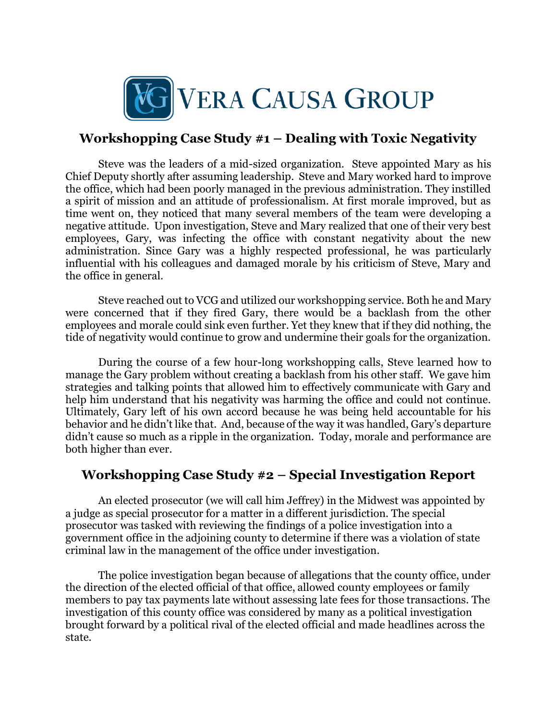

## **Workshopping Case Study #1 – Dealing with Toxic Negativity**

Steve was the leaders of a mid-sized organization. Steve appointed Mary as his Chief Deputy shortly after assuming leadership. Steve and Mary worked hard to improve the office, which had been poorly managed in the previous administration. They instilled a spirit of mission and an attitude of professionalism. At first morale improved, but as time went on, they noticed that many several members of the team were developing a negative attitude. Upon investigation, Steve and Mary realized that one of their very best employees, Gary, was infecting the office with constant negativity about the new administration. Since Gary was a highly respected professional, he was particularly influential with his colleagues and damaged morale by his criticism of Steve, Mary and the office in general.

Steve reached out to VCG and utilized our workshopping service. Both he and Mary were concerned that if they fired Gary, there would be a backlash from the other employees and morale could sink even further. Yet they knew that if they did nothing, the tide of negativity would continue to grow and undermine their goals for the organization.

During the course of a few hour-long workshopping calls, Steve learned how to manage the Gary problem without creating a backlash from his other staff. We gave him strategies and talking points that allowed him to effectively communicate with Gary and help him understand that his negativity was harming the office and could not continue. Ultimately, Gary left of his own accord because he was being held accountable for his behavior and he didn't like that. And, because of the way it was handled, Gary's departure didn't cause so much as a ripple in the organization. Today, morale and performance are both higher than ever.

## **Workshopping Case Study #2 – Special Investigation Report**

An elected prosecutor (we will call him Jeffrey) in the Midwest was appointed by a judge as special prosecutor for a matter in a different jurisdiction. The special prosecutor was tasked with reviewing the findings of a police investigation into a government office in the adjoining county to determine if there was a violation of state criminal law in the management of the office under investigation.

The police investigation began because of allegations that the county office, under the direction of the elected official of that office, allowed county employees or family members to pay tax payments late without assessing late fees for those transactions. The investigation of this county office was considered by many as a political investigation brought forward by a political rival of the elected official and made headlines across the state.